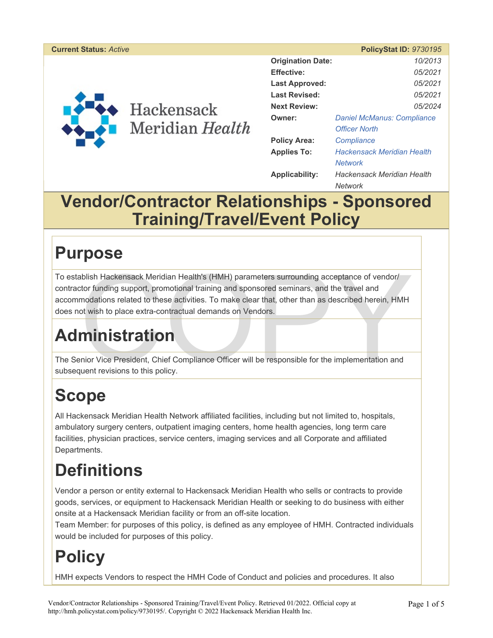#### **Current Status:** *Active* **PolicyStat ID:** *9730195*



| <b>Origination Date:</b> |                                   | 10/2013 |
|--------------------------|-----------------------------------|---------|
| <b>Effective:</b>        |                                   | 05/2021 |
| Last Approved:           |                                   | 05/2021 |
| <b>Last Revised:</b>     |                                   | 05/2021 |
| <b>Next Review:</b>      |                                   | 05/2024 |
| Owner:                   | <b>Daniel McManus: Compliance</b> |         |
|                          | <b>Officer North</b>              |         |
| <b>Policy Area:</b>      | Compliance                        |         |
| <b>Applies To:</b>       | <b>Hackensack Meridian Health</b> |         |
|                          | <b>Network</b>                    |         |
| <b>Applicability:</b>    | Hackensack Meridian Health        |         |
|                          | Network                           |         |

#### **Vendor/Contractor Relationships - Sponsored Training/Travel/Event Policy**

### **Purpose**

Ablish Hackensack Meridian Health's (HMH) parameters surrounding acceptance of vendor/<br>tor funding support, promotional training and sponsored seminars, and the travel and<br>modations related to these activities. To make cle To establish Hackensack Meridian Health's (HMH) parameters surrounding acceptance of vendor/ contractor funding support, promotional training and sponsored seminars, and the travel and accommodations related to these activities. To make clear that, other than as described herein, HMH does not wish to place extra-contractual demands on Vendors.

# **Administration**

The Senior Vice President, Chief Compliance Officer will be responsible for the implementation and subsequent revisions to this policy.

# **Scope**

All Hackensack Meridian Health Network affiliated facilities, including but not limited to, hospitals, ambulatory surgery centers, outpatient imaging centers, home health agencies, long term care facilities, physician practices, service centers, imaging services and all Corporate and affiliated Departments.

# **Definitions**

Vendor a person or entity external to Hackensack Meridian Health who sells or contracts to provide goods, services, or equipment to Hackensack Meridian Health or seeking to do business with either onsite at a Hackensack Meridian facility or from an off-site location.

Team Member: for purposes of this policy, is defined as any employee of HMH. Contracted individuals would be included for purposes of this policy.

### **Policy**

HMH expects Vendors to respect the HMH Code of Conduct and policies and procedures. It also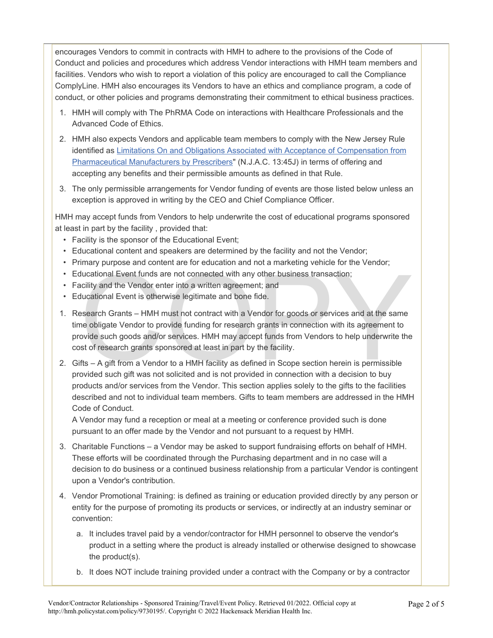encourages Vendors to commit in contracts with HMH to adhere to the provisions of the Code of Conduct and policies and procedures which address Vendor interactions with HMH team members and facilities. Vendors who wish to report a violation of this policy are encouraged to call the Compliance ComplyLine. HMH also encourages its Vendors to have an ethics and compliance program, a code of conduct, or other policies and programs demonstrating their commitment to ethical business practices.

- 1. HMH will comply with The PhRMA Code on interactions with Healthcare Professionals and the Advanced Code of Ethics.
- 2. HMH also expects Vendors and applicable team members to comply with the New Jersey Rule identified as Limitations On and Obligations Associated with Acceptance of Compensation from Pharmaceutical Manufacturers by Prescribers" (N.J.A.C. 13:45J) in terms of offering and accepting any benefits and their permissible amounts as defined in that Rule.
- 3. The only permissible arrangements for Vendor funding of events are those listed below unless an exception is approved in writing by the CEO and Chief Compliance Officer.

HMH may accept funds from Vendors to help underwrite the cost of educational programs sponsored at least in part by the facility , provided that:

- Facility is the sponsor of the Educational Event;
- Educational content and speakers are determined by the facility and not the Vendor;
- Primary purpose and content are for education and not a marketing vehicle for the Vendor;
- Educational Event funds are not connected with any other business transaction;
- Facility and the Vendor enter into a written agreement; and
- Educational Event is otherwise legitimate and bone fide.
- Interior Juncains Event funds are not connected with any other business transaction;<br>ducational Event funds are not connected with any other business transaction;<br>cility and the Vendor enter into a written agreement; and<br>d 1. Research Grants – HMH must not contract with a Vendor for goods or services and at the same time obligate Vendor to provide funding for research grants in connection with its agreement to provide such goods and/or services. HMH may accept funds from Vendors to help underwrite the cost of research grants sponsored at least in part by the facility.
- 2. Gifts A gift from a Vendor to a HMH facility as defined in Scope section herein is permissible provided such gift was not solicited and is not provided in connection with a decision to buy products and/or services from the Vendor. This section applies solely to the gifts to the facilities described and not to individual team members. Gifts to team members are addressed in the HMH Code of Conduct.

A Vendor may fund a reception or meal at a meeting or conference provided such is done pursuant to an offer made by the Vendor and not pursuant to a request by HMH.

- 3. Charitable Functions a Vendor may be asked to support fundraising efforts on behalf of HMH. These efforts will be coordinated through the Purchasing department and in no case will a decision to do business or a continued business relationship from a particular Vendor is contingent upon a Vendor's contribution.
- 4. Vendor Promotional Training: is defined as training or education provided directly by any person or entity for the purpose of promoting its products or services, or indirectly at an industry seminar or convention:
	- a. It includes travel paid by a vendor/contractor for HMH personnel to observe the vendor's product in a setting where the product is already installed or otherwise designed to showcase the product(s).
	- b. It does NOT include training provided under a contract with the Company or by a contractor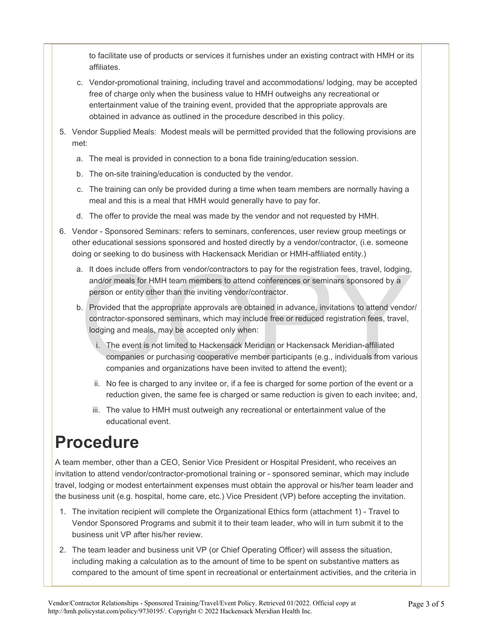to facilitate use of products or services it furnishes under an existing contract with HMH or its affiliates.

- c. Vendor-promotional training, including travel and accommodations/ lodging, may be accepted free of charge only when the business value to HMH outweighs any recreational or entertainment value of the training event, provided that the appropriate approvals are obtained in advance as outlined in the procedure described in this policy.
- 5. Vendor Supplied Meals: Modest meals will be permitted provided that the following provisions are met:
	- a. The meal is provided in connection to a bona fide training/education session.
	- b. The on-site training/education is conducted by the vendor.
	- c. The training can only be provided during a time when team members are normally having a meal and this is a meal that HMH would generally have to pay for.
	- d. The offer to provide the meal was made by the vendor and not requested by HMH.
- 6. Vendor Sponsored Seminars: refers to seminars, conferences, user review group meetings or other educational sessions sponsored and hosted directly by a vendor/contractor, (i.e. someone doing or seeking to do business with Hackensack Meridian or HMH-affiliated entity.)
	- a. It does include offers from vendor/contractors to pay for the registration fees, travel, lodging, and/or meals for HMH team members to attend conferences or seminars sponsored by a person or entity other than the inviting vendor/contractor.
	- The include offers from vendor/contractors to pay for the registration fees, travel, lodging,<br>and/or meals for HMH team members to attend conferences or seminars sponsored by a<br>person or entity other than the inviting vend b. Provided that the appropriate approvals are obtained in advance, invitations to attend vendor/ contractor-sponsored seminars, which may include free or reduced registration fees, travel, lodging and meals, may be accepted only when:
		- i. The event is not limited to Hackensack Meridian or Hackensack Meridian-affiliated companies or purchasing cooperative member participants (e.g., individuals from various companies and organizations have been invited to attend the event);
		- ii. No fee is charged to any invitee or, if a fee is charged for some portion of the event or a reduction given, the same fee is charged or same reduction is given to each invitee; and,
		- iii. The value to HMH must outweigh any recreational or entertainment value of the educational event.

## **Procedure**

A team member, other than a CEO, Senior Vice President or Hospital President, who receives an invitation to attend vendor/contractor-promotional training or - sponsored seminar, which may include travel, lodging or modest entertainment expenses must obtain the approval or his/her team leader and the business unit (e.g. hospital, home care, etc.) Vice President (VP) before accepting the invitation.

- 1. The invitation recipient will complete the Organizational Ethics form (attachment 1) Travel to Vendor Sponsored Programs and submit it to their team leader, who will in turn submit it to the business unit VP after his/her review.
- 2. The team leader and business unit VP (or Chief Operating Officer) will assess the situation, including making a calculation as to the amount of time to be spent on substantive matters as compared to the amount of time spent in recreational or entertainment activities, and the criteria in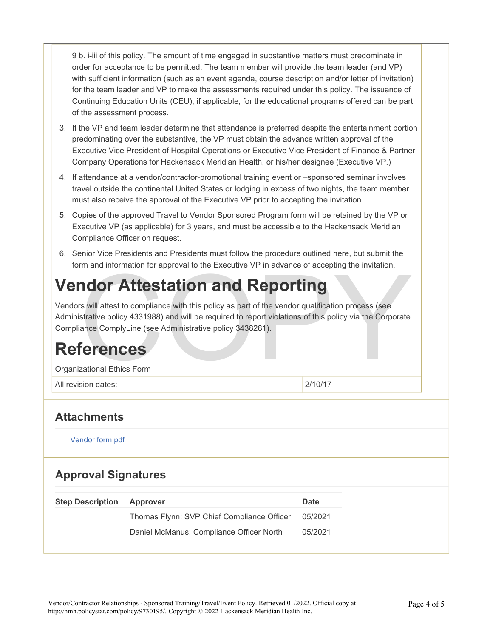9 b. i-iii of this policy. The amount of time engaged in substantive matters must predominate in order for acceptance to be permitted. The team member will provide the team leader (and VP) with sufficient information (such as an event agenda, course description and/or letter of invitation) for the team leader and VP to make the assessments required under this policy. The issuance of Continuing Education Units (CEU), if applicable, for the educational programs offered can be part of the assessment process.

- 3. If the VP and team leader determine that attendance is preferred despite the entertainment portion predominating over the substantive, the VP must obtain the advance written approval of the Executive Vice President of Hospital Operations or Executive Vice President of Finance & Partner Company Operations for Hackensack Meridian Health, or his/her designee (Executive VP.)
- 4. If attendance at a vendor/contractor-promotional training event or –sponsored seminar involves travel outside the continental United States or lodging in excess of two nights, the team member must also receive the approval of the Executive VP prior to accepting the invitation.
- 5. Copies of the approved Travel to Vendor Sponsored Program form will be retained by the VP or Executive VP (as applicable) for 3 years, and must be accessible to the Hackensack Meridian Compliance Officer on request.
- 6. Senior Vice Presidents and Presidents must follow the procedure outlined here, but submit the form and information for approval to the Executive VP in advance of accepting the invitation.

### **Vendor Attestation and Reporting**

The and momation for approval to the Executive VP in advance of accepting the invitation.<br> **COPY Attestation and Reporting**<br>
S will attest to compliance with this policy as part of the vendor qualification process (see<br>
st Vendors will attest to compliance with this policy as part of the vendor qualification process (see Administrative policy 4331988) and will be required to report violations of this policy via the Corporate Compliance ComplyLine (see Administrative policy 3438281).

#### **References**

Organizational Ethics Form

All revision dates: 2/10/17

#### **Attachments**

Vendor form.pdf

#### **Approval Signatures**

| <b>Step Description</b> | Approver                                   | Date    |
|-------------------------|--------------------------------------------|---------|
|                         | Thomas Flynn: SVP Chief Compliance Officer | 05/2021 |
|                         | Daniel McManus: Compliance Officer North   | 05/2021 |
|                         |                                            |         |